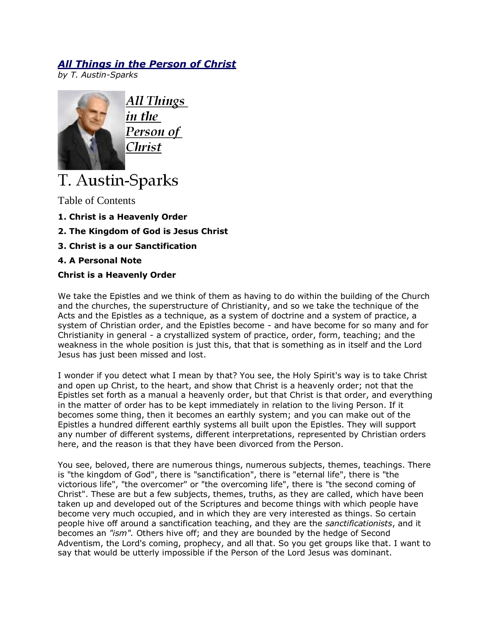## *All Things in [the Person of](http://austin-sparks.net/english/000006.html) Christ*

*by T. Austin-Sparks*



All Things in the Person of Christ

# T. Austin-Sparks

Table of Contents

- **1. Christ is a Heavenly Order**
- **2. The Kingdom of God is Jesus Christ**
- **3. Christ is a our Sanctification**
- **4. A Personal Note**

### **Christ is a Heavenly Order**

We take the Epistles and we think of them as having to do within the building of the Church and the churches, the superstructure of Christianity, and so we take the technique of the Acts and the Epistles as a technique, as a system of doctrine and a system of practice, a system of Christian order, and the Epistles become - and have become for so many and for Christianity in general - a crystallized system of practice, order, form, teaching; and the weakness in the whole position is just this, that that is something as in itself and the Lord Jesus has just been missed and lost.

I wonder if you detect what I mean by that? You see, the Holy Spirit's way is to take Christ and open up Christ, to the heart, and show that Christ is a heavenly order; not that the Epistles set forth as a manual a heavenly order, but that Christ is that order, and everything in the matter of order has to be kept immediately in relation to the living Person. If it becomes some thing, then it becomes an earthly system; and you can make out of the Epistles a hundred different earthly systems all built upon the Epistles. They will support any number of different systems, different interpretations, represented by Christian orders here, and the reason is that they have been divorced from the Person.

You see, beloved, there are numerous things, numerous subjects, themes, teachings. There is "the kingdom of God", there is "sanctification", there is "eternal life", there is "the victorious life", "the overcomer" or "the overcoming life", there is "the second coming of Christ". These are but a few subjects, themes, truths, as they are called, which have been taken up and developed out of the Scriptures and become things with which people have become very much occupied, and in which they are very interested as things. So certain people hive off around a sanctification teaching, and they are the *sanctificationists*, and it becomes an *"ism".* Others hive off; and they are bounded by the hedge of Second Adventism, the Lord's coming, prophecy, and all that. So you get groups like that. I want to say that would be utterly impossible if the Person of the Lord Jesus was dominant.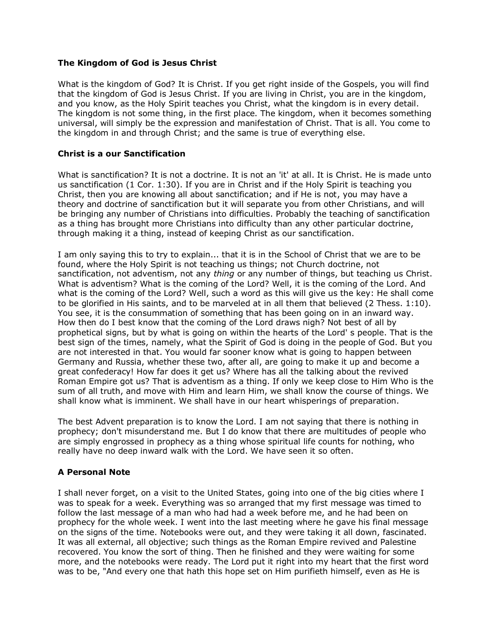#### **The Kingdom of God is Jesus Christ**

What is the kingdom of God? It is Christ. If you get right inside of the Gospels, you will find that the kingdom of God is Jesus Christ. If you are living in Christ, you are in the kingdom, and you know, as the Holy Spirit teaches you Christ, what the kingdom is in every detail. The kingdom is not some thing, in the first place. The kingdom, when it becomes something universal, will simply be the expression and manifestation of Christ. That is all. You come to the kingdom in and through Christ; and the same is true of everything else.

#### **Christ is a our Sanctification**

What is sanctification? It is not a doctrine. It is not an 'it' at all. It is Christ. He is made unto us sanctification (1 Cor. 1:30). If you are in Christ and if the Holy Spirit is teaching you Christ, then you are knowing all about sanctification; and if He is not, you may have a theory and doctrine of sanctification but it will separate you from other Christians, and will be bringing any number of Christians into difficulties. Probably the teaching of sanctification as a thing has brought more Christians into difficulty than any other particular doctrine, through making it a thing, instead of keeping Christ as our sanctification.

I am only saying this to try to explain... that it is in the School of Christ that we are to be found, where the Holy Spirit is not teaching us things; not Church doctrine, not sanctification, not adventism, not any *thing* or any number of things, but teaching us Christ. What is adventism? What is the coming of the Lord? Well, it is the coming of the Lord. And what is the coming of the Lord? Well, such a word as this will give us the key: He shall come to be glorified in His saints, and to be marveled at in all them that believed (2 Thess. 1:10). You see, it is the consummation of something that has been going on in an inward way. How then do I best know that the coming of the Lord draws nigh? Not best of all by prophetical signs, but by what is going on within the hearts of the Lord' s people. That is the best sign of the times, namely, what the Spirit of God is doing in the people of God. But you are not interested in that. You would far sooner know what is going to happen between Germany and Russia, whether these two, after all, are going to make it up and become a great confederacy! How far does it get us? Where has all the talking about the revived Roman Empire got us? That is adventism as a thing. If only we keep close to Him Who is the sum of all truth, and move with Him and learn Him, we shall know the course of things. We shall know what is imminent. We shall have in our heart whisperings of preparation.

The best Advent preparation is to know the Lord. I am not saying that there is nothing in prophecy; don't misunderstand me. But I do know that there are multitudes of people who are simply engrossed in prophecy as a thing whose spiritual life counts for nothing, who really have no deep inward walk with the Lord. We have seen it so often.

#### **A Personal Note**

I shall never forget, on a visit to the United States, going into one of the big cities where I was to speak for a week. Everything was so arranged that my first message was timed to follow the last message of a man who had had a week before me, and he had been on prophecy for the whole week. I went into the last meeting where he gave his final message on the signs of the time. Notebooks were out, and they were taking it all down, fascinated. It was all external, all objective; such things as the Roman Empire revived and Palestine recovered. You know the sort of thing. Then he finished and they were waiting for some more, and the notebooks were ready. The Lord put it right into my heart that the first word was to be, "And every one that hath this hope set on Him purifieth himself, even as He is